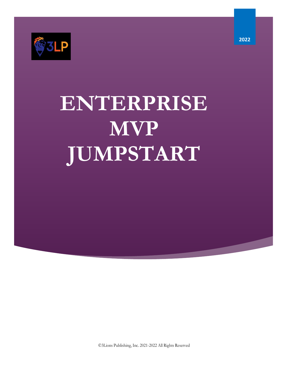

# **ENTERPRISE MVP JUMPSTART**

©3Lions Publishing, Inc. 2021-2022 All Rights Reserved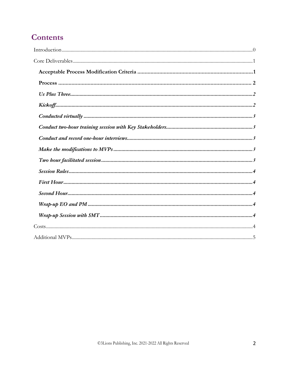## **Contents**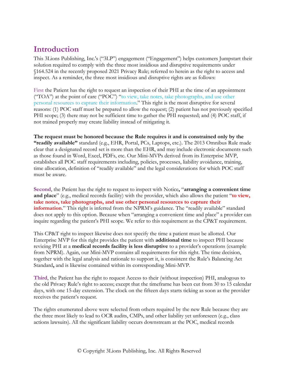## **Introduction**

This 3Lions Publishing, Inc.'s ("3LP") engagement ("Engagement") helps customers Jumpstart their solution required to comply with the three most insidious and disruptive requirements under §164.524 in the recently proposed 2021 Privacy Rule; referred to herein as the right to access and inspect. As a reminder, the three most insidious and disruptive rights are as follows:

First the Patient has the right to request an inspection of their PHI at the time of an appointment ("TOA") at the point of care ("POC") "to view, take notes, take photographs, and use other personal resources to capture their information." This right is the most disruptive for several reasons: (1) POC staff must be prepared to allow the request; (2) patient has not previously specified PHI scope; (3) there may not be sufficient time to gather the PHI requested; and (4) POC staff, if not trained properly may create liability instead of mitigating it.

**The request must be honored because the Rule requires it and is constrained only by the "readily available"** standard (e.g., EHR, Portal, PCs, Laptops, etc.). The 2013 Omnibus Rule made clear that a designated record set is more than the EHR, and may include electronic documents such as those found in Word, Excel, PDFs, etc. Our Mini-MVPs derived from its Enterprise MVP, establishes all POC staff requirements including, policies, processes, liability avoidance, training, time allocation, definition of "readily available" and the legal considerations for which POC staff must be aware.

**Second**, the Patient has the right to request to inspect with Notice**,** "**arranging a convenient time and place**" (e.g., medical records facility) with the provider, which also allows the patient "**to view, take notes, take photographs, and use other personal resources to capture their**  information." This right is inferred from the NPRM's guidance. The "readily available" standard does not apply to this option. Because when "arranging a convenient time and place" a provider can inquire regarding the patient's PHI scope. We refer to this requirement as the CP&T requirement.

This CP&T right to inspect likewise does not specify the time a patient must be allotted. Our Enterprise MVP for this right provides the patient with **additional time** to inspect PHI because revieing PHI at a **medical records facility is less disruptive** to a provider's operations (example from NPRM). Again, our Mini-MVP contains all requirements for this right. The time decision, together with the legal analysis and rationale to support it, is consistent the Rule's Balancing Act Standard**,** and is likewise contained within its corresponding Mini-MVP.

**Third**, the Patient has the right to request Access to their (without inspection) PHI, analogous to the old Privacy Rule's right to access; except that the timeframe has been cut from 30 to 15 calendar days, with one 15-day extension. The clock on the fifteen days starts ticking as soon as the provider receives the patient's request.

The rights enumerated above were selected from others required by the new Rule because they are the three most likely to lead to OCR audits, CMPs, and other liability yet unforeseen (e.g., class actions lawsuits). All the significant liability occurs downstream at the POC, medical records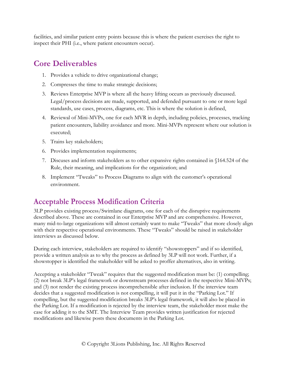facilities, and similar patient entry points because this is where the patient exercises the right to inspect their PHI (i.e., where patient encounters occur).

## **Core Deliverables**

- 1. Provides a vehicle to drive organizational change;
- 2. Compresses the time to make strategic decisions;
- 3. Reviews Enterprise MVP is where all the heavy lifting occurs as previously discussed. Legal/process decisions are made, supported, and defended pursuant to one or more legal standards, use cases, process, diagrams, etc. This is where the solution is defined,
- 4. Reviewal of Mini-MVPs, one for each MVR in depth, including policies, processes, tracking patient encounters, liability avoidance and more. Mini-MVPs represent where our solution is executed;
- 5. Trains key stakeholders;
- 6. Provides implementation requirements;
- 7. Discuses and inform stakeholders as to other expansive rights contained in §164.524 of the Rule, their meaning, and implications for the organization; and
- 8. Implement "Tweaks" to Process Diagrams to align with the customer's operational environment.

## **Acceptable Process Modification Criteria**

3LP provides existing process/Swimlane diagrams, one for each of the disruptive requirements described above. These are contained in our Enterprise MVP and are comprehensive. However, many mid-to-large organizations will almost certainly want to make "Tweaks" that more closely align with their respective operational environments. These "Tweaks" should be raised in stakeholder interviews as discussed below.

During each interview, stakeholders are required to identify "showstoppers" and if so identified, provide a written analysis as to why the process as defined by 3LP will not work. Further, if a showstopper is identified the stakeholder will be asked to proffer alternatives, also in writing.

Accepting a stakeholder "Tweak" requires that the suggested modification must be: (1) compelling; (2) not break 3LP's legal framework or downstream processes defined in the respective Mini-MVPs; and (3) not render the existing process incomprehensible after inclusion. If the interview team decides that a suggested modification is not compelling, it will put it in the "Parking Lot." If compelling, but the suggested modification breaks 3LP's legal framework, it will also be placed in the Parking Lot. If a modification is rejected by the interview team, the stakeholder most make the case for adding it to the SMT. The Interview Team provides written justification for rejected modifications and likewise posts these documents in the Parking Lot.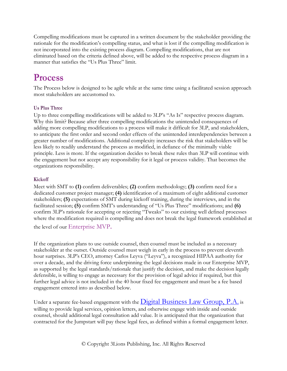Compelling modifications must be captured in a written document by the stakeholder providing the rationale for the modification's compelling status, and what is lost if the compelling modification is not incorporated into the existing process diagram. Compelling modifications, that are not eliminated based on the criteria defined above, will be added to the respective process diagram in a manner that satisfies the "Us Plus Three" limit.

## **Process**

The Process below is designed to be agile while at the same time using a facilitated session approach most stakeholders are accustomed to.

#### **Us Plus Three**

Up to three compelling modifications will be added to 3LP's "As Is" respective process diagram. Why this limit? Because after three compelling modifications the unintended consequences of adding more compelling modifications to a process will make it difficult for 3LP, and stakeholders, to anticipate the first order and second order effects of the unintended interdependencies between a greater number of modifications. Additional complexity increases the risk that stakeholders will be less likely to readily understand the process as modified, in defiance of the minimally viable principle. Less is more. If the organization decides to break these rules than 3LP will continue with the engagement but not accept any responsibility for it legal or process validity. That becomes the organizations responsibility.

#### **Kickoff**

Meet with SMT to **(1)** confirm deliverables; **(2)** confirm methodology; **(3)** confirm need for a dedicated customer project manager; **(4)** identification of a maximum of eight additional customer stakeholders; **(5)** expectations of SMT during kickoff training, during the interviews, and in the facilitated session; **(5)** confirm SMT's understanding of "Us Plus Three" modifications; and **(6)**  confirm 3LP's rationale for accepting or rejecting "Tweaks" to our existing well defined processes where the modification required is compelling and does not break the legal framework established at

the level of our Enterprise MVP.

If the organization plans to use outside counsel, then counsel must be included as a necessary stakeholder at the outset. Outside counsel must weigh in early in the process to prevent eleventh hour surprises. 3LP's CEO, attorney Carlos Leyva ("Leyva"), a recognized HIPAA authority for over a decade, and the driving force underpinning the legal decisions made in our Enterprise MVP, as supported by the legal standards/rationale that justify the decision, and make the decision legally defensible, is willing to engage as necessary for the provision of legal advice if required, but this further legal advice is not included in the 40 hour fixed fee engagement and must be a fee based engagement entered into as described below.

Under a separate fee-based engagement with the  $\overline{\text{Digital Business} }$  Law Group, P.A. is willing to provide legal services, opinion letters, and otherwise engage with inside and outside counsel, should additional legal consultation add value. It is anticipated that the organization that contracted for the Jumpstart will pay these legal fees, as defined within a formal engagement letter.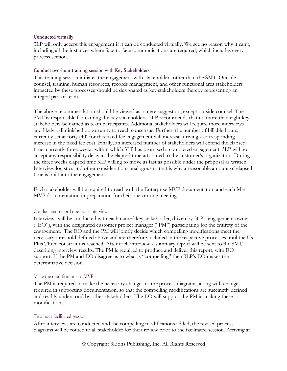#### **Conducted virtually**

3LP will only accept this engagement if it can be conducted virtually. We see no reason why it can't, including all the instances where face-to-face communications are required, which includes every process section.

#### **Conduct two-hour training session with Key Stakeholders**

This training session initiates the engagement with stakeholders other than the SMT. Outside counsel, training, human resources, records management, and other functional area stakeholders impacted by these processes should be designated as key stakeholders thereby representing an integral part of team.

The above recommendation should be viewed as a mere suggestion, except outside counsel. The SMT is responsible for naming the key stakeholders. 3LP recommends that no more than eight key stakeholders be named as team participants. Additional stakeholders will require more interviews and likely a diminished opportunity to reach consensus. Further, the number of billable hours, currently set at forty (40) for this fixed fee engagement will increase, driving a corresponding increase in the fixed fee cost. Finally, an increased number of stakeholders will extend the elapsed time, currently three weeks, within which 3LP has promised a completed engagement. 3LP will not accept any responsibility delay in the elapsed time attributed to the customer's organization. During the three weeks elapsed time 3LP willing to move as fast as possible under the proposal as written. Interview logistics and other considerations analogous to that is why a reasonable amount of elapsed time is built into the engagement.

Each stakeholder will be required to read both the Enterprise MVP documentation and each Mini-MVP documentation in preparation for their one-on-one meeting.

#### Conduct and record one-hour interviews

Interviews will be conducted with each named key stakeholder, driven by 3LP's engagement owner ("EO"), with the designated customer project manager ("PM") participating for the entirety of the engagement. The EO and the PM will jointly decide which compelling modifications meet the necessary threshold defined above and are therefore included in the respective processes until the Us Plus Three constraint is reached. After each interview a summary report will be sent to the SMT describing interview results. The PM is required to produce and deliver this report, with EO support. If the PM and EO disagree as to what is "compelling" then 3LP's EO makes the determinative decision.

#### Make the modifications to MVPs

The PM is required to make the necessary changes to the process diagrams, along with changes required in supporting documentation, so that the compelling modifications are succinctly defined and readily understood by other stakeholders. The EO will support the PM in making these modifications.

#### Two hour facilitated session

After interviews are conducted and the compelling modifications added, the revised process diagrams will be routed to all stakeholder for their review prior to the facilitated session. Arriving at

© Copyright 3Lions Publishing, Inc. All Rights Reserved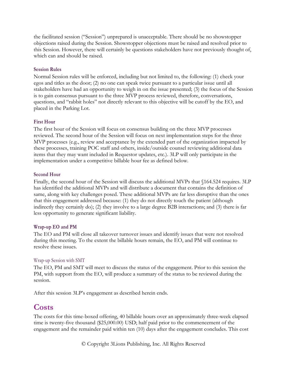the facilitated session ("Session") unprepared is unacceptable. There should be no showstopper objections raised during the Session. Showstopper objections must be raised and resolved prior to this Session. However, there will certainly be questions stakeholders have not previously thought of, which can and should be raised.

#### **Session Rules**

Normal Session rules will be enforced, including but not limited to, the following: (1) check your egos and titles as the door; (2) no one can speak twice pursuant to a particular issue until all stakeholders have had an opportunity to weigh in on the issue presented; (3) the focus of the Session is to gain consensus pursuant to the three MVP process reviewed, therefore, conversations, questions, and "rabbit holes" not directly relevant to this objective will be cutoff by the EO, and placed in the Parking Lot.

#### **First Hour**

The first hour of the Session will focus on consensus building on the three MVP processes reviewed. The second hour of the Session will focus on next implementation steps for the three MVP processes (e.g., review and acceptance by the extended part of the organization impacted by these processes, training POC staff and others, inside/outside counsel reviewing additional data items that they may want included in Requestor updates, etc.). 3LP will only participate in the implementation under a competitive billable hour fee as defined below.

#### **Second Hour**

Finally, the second hour of the Session will discuss the additional MVPs that §164.524 requires. 3LP has identified the additional MVPs and will distribute a document that contains the definition of same, along with key challenges posed. These additional MVPs are far less disruptive than the ones that this engagement addressed because: (1) they do not directly touch the patient (although indirectly they certainly do); (2) they involve to a large degree B2B interactions; and (3) there is far less opportunity to generate significant liability.

#### **Wrap-up EO and PM**

The EO and PM will close all takeover turnover issues and identify issues that were not resolved during this meeting. To the extent the billable hours remain, the EO, and PM will continue to resolve these issues.

#### Wrap-up Session with SMT

The EO, PM and SMT will meet to discuss the status of the engagement. Prior to this session the PM, with support from the EO, will produce a summary of the status to be reviewed during the session.

After this session 3LP's engagement as described herein ends.

### **Costs**

The costs for this time-boxed offering, 40 billable hours over an approximately three-week elapsed time is twenty-five thousand (\$25,000.00) USD; half paid prior to the commencement of the engagement and the remainder paid within ten (10) days after the engagement concludes. This cost